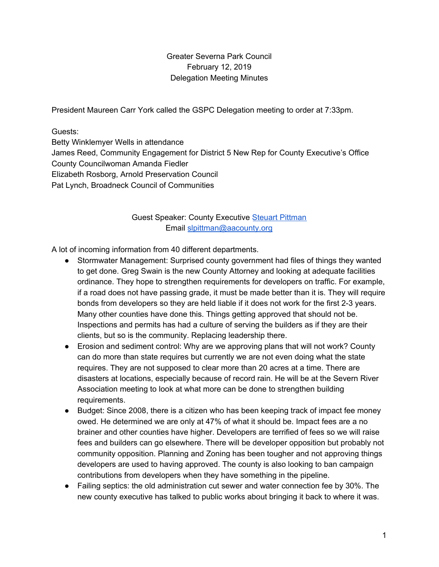### Greater Severna Park Council February 12, 2019 Delegation Meeting Minutes

President Maureen Carr York called the GSPC Delegation meeting to order at 7:33pm.

Guests:

Betty Winklemyer Wells in attendance James Reed, Community Engagement for District 5 New Rep for County Executive's Office County Councilwoman Amanda Fiedler Elizabeth Rosborg, Arnold Preservation Council Pat Lynch, Broadneck Council of Communities

# Guest Speaker: County Executive Steuart [Pittman](https://www.aacounty.org/departments/county-executive/) Email [slpittman@aacounty.org](mailto:slpittman@aacounty.org)

A lot of incoming information from 40 different departments.

- Stormwater Management: Surprised county government had files of things they wanted to get done. Greg Swain is the new County Attorney and looking at adequate facilities ordinance. They hope to strengthen requirements for developers on traffic. For example, if a road does not have passing grade, it must be made better than it is. They will require bonds from developers so they are held liable if it does not work for the first 2-3 years. Many other counties have done this. Things getting approved that should not be. Inspections and permits has had a culture of serving the builders as if they are their clients, but so is the community. Replacing leadership there.
- Erosion and sediment control: Why are we approving plans that will not work? County can do more than state requires but currently we are not even doing what the state requires. They are not supposed to clear more than 20 acres at a time. There are disasters at locations, especially because of record rain. He will be at the Severn River Association meeting to look at what more can be done to strengthen building requirements.
- Budget: Since 2008, there is a citizen who has been keeping track of impact fee money owed. He determined we are only at 47% of what it should be. Impact fees are a no brainer and other counties have higher. Developers are terrified of fees so we will raise fees and builders can go elsewhere. There will be developer opposition but probably not community opposition. Planning and Zoning has been tougher and not approving things developers are used to having approved. The county is also looking to ban campaign contributions from developers when they have something in the pipeline.
- Failing septics: the old administration cut sewer and water connection fee by 30%. The new county executive has talked to public works about bringing it back to where it was.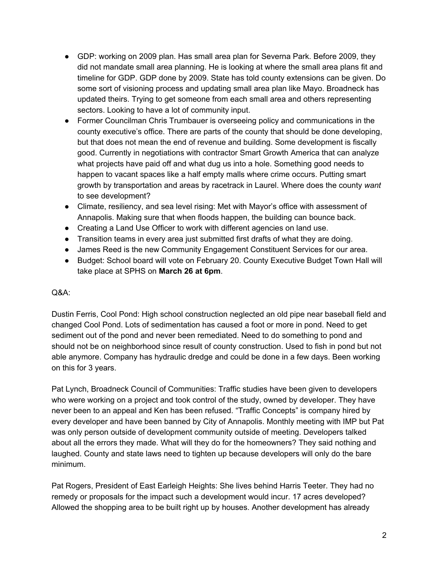- GDP: working on 2009 plan. Has small area plan for Severna Park. Before 2009, they did not mandate small area planning. He is looking at where the small area plans fit and timeline for GDP. GDP done by 2009. State has told county extensions can be given. Do some sort of visioning process and updating small area plan like Mayo. Broadneck has updated theirs. Trying to get someone from each small area and others representing sectors. Looking to have a lot of community input.
- Former Councilman Chris Trumbauer is overseeing policy and communications in the county executive's office. There are parts of the county that should be done developing, but that does not mean the end of revenue and building. Some development is fiscally good. Currently in negotiations with contractor Smart Growth America that can analyze what projects have paid off and what dug us into a hole. Something good needs to happen to vacant spaces like a half empty malls where crime occurs. Putting smart growth by transportation and areas by racetrack in Laurel. Where does the county *want* to see development?
- Climate, resiliency, and sea level rising: Met with Mayor's office with assessment of Annapolis. Making sure that when floods happen, the building can bounce back.
- Creating a Land Use Officer to work with different agencies on land use.
- Transition teams in every area just submitted first drafts of what they are doing.
- James Reed is the new Community Engagement Constituent Services for our area.
- Budget: School board will vote on February 20. County Executive Budget Town Hall will take place at SPHS on **March 26 at 6pm**.

#### Q&A:

Dustin Ferris, Cool Pond: High school construction neglected an old pipe near baseball field and changed Cool Pond. Lots of sedimentation has caused a foot or more in pond. Need to get sediment out of the pond and never been remediated. Need to do something to pond and should not be on neighborhood since result of county construction. Used to fish in pond but not able anymore. Company has hydraulic dredge and could be done in a few days. Been working on this for 3 years.

Pat Lynch, Broadneck Council of Communities: Traffic studies have been given to developers who were working on a project and took control of the study, owned by developer. They have never been to an appeal and Ken has been refused. "Traffic Concepts" is company hired by every developer and have been banned by City of Annapolis. Monthly meeting with IMP but Pat was only person outside of development community outside of meeting. Developers talked about all the errors they made. What will they do for the homeowners? They said nothing and laughed. County and state laws need to tighten up because developers will only do the bare minimum.

Pat Rogers, President of East Earleigh Heights: She lives behind Harris Teeter. They had no remedy or proposals for the impact such a development would incur. 17 acres developed? Allowed the shopping area to be built right up by houses. Another development has already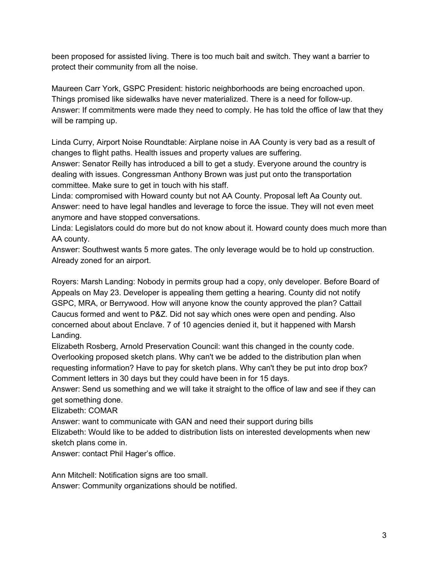been proposed for assisted living. There is too much bait and switch. They want a barrier to protect their community from all the noise.

Maureen Carr York, GSPC President: historic neighborhoods are being encroached upon. Things promised like sidewalks have never materialized. There is a need for follow-up. Answer: If commitments were made they need to comply. He has told the office of law that they will be ramping up.

Linda Curry, Airport Noise Roundtable: Airplane noise in AA County is very bad as a result of changes to flight paths. Health issues and property values are suffering.

Answer: Senator Reilly has introduced a bill to get a study. Everyone around the country is dealing with issues. Congressman Anthony Brown was just put onto the transportation committee. Make sure to get in touch with his staff.

Linda: compromised with Howard county but not AA County. Proposal left Aa County out. Answer: need to have legal handles and leverage to force the issue. They will not even meet anymore and have stopped conversations.

Linda: Legislators could do more but do not know about it. Howard county does much more than AA county.

Answer: Southwest wants 5 more gates. The only leverage would be to hold up construction. Already zoned for an airport.

Royers: Marsh Landing: Nobody in permits group had a copy, only developer. Before Board of Appeals on May 23. Developer is appealing them getting a hearing. County did not notify GSPC, MRA, or Berrywood. How will anyone know the county approved the plan? Cattail Caucus formed and went to P&Z. Did not say which ones were open and pending. Also concerned about about Enclave. 7 of 10 agencies denied it, but it happened with Marsh Landing.

Elizabeth Rosberg, Arnold Preservation Council: want this changed in the county code. Overlooking proposed sketch plans. Why can't we be added to the distribution plan when requesting information? Have to pay for sketch plans. Why can't they be put into drop box? Comment letters in 30 days but they could have been in for 15 days.

Answer: Send us something and we will take it straight to the office of law and see if they can get something done.

Elizabeth: COMAR

Answer: want to communicate with GAN and need their support during bills

Elizabeth: Would like to be added to distribution lists on interested developments when new sketch plans come in.

Answer: contact Phil Hager's office.

Ann Mitchell: Notification signs are too small. Answer: Community organizations should be notified.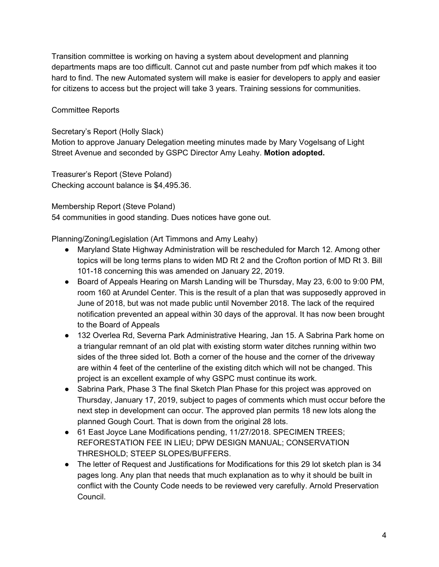Transition committee is working on having a system about development and planning departments maps are too difficult. Cannot cut and paste number from pdf which makes it too hard to find. The new Automated system will make is easier for developers to apply and easier for citizens to access but the project will take 3 years. Training sessions for communities.

#### Committee Reports

Secretary's Report (Holly Slack)

Motion to approve January Delegation meeting minutes made by Mary Vogelsang of Light Street Avenue and seconded by GSPC Director Amy Leahy. **Motion adopted.**

Treasurer's Report (Steve Poland) Checking account balance is \$4,495.36.

Membership Report (Steve Poland)

54 communities in good standing. Dues notices have gone out.

Planning/Zoning/Legislation (Art Timmons and Amy Leahy)

- Maryland State Highway Administration will be rescheduled for March 12. Among other topics will be long terms plans to widen MD Rt 2 and the Crofton portion of MD Rt 3. Bill 101-18 concerning this was amended on January 22, 2019.
- Board of Appeals Hearing on Marsh Landing will be Thursday, May 23, 6:00 to 9:00 PM, room 160 at Arundel Center. This is the result of a plan that was supposedly approved in June of 2018, but was not made public until November 2018. The lack of the required notification prevented an appeal within 30 days of the approval. It has now been brought to the Board of Appeals
- 132 Overlea Rd, Severna Park Administrative Hearing, Jan 15. A Sabrina Park home on a triangular remnant of an old plat with existing storm water ditches running within two sides of the three sided lot. Both a corner of the house and the corner of the driveway are within 4 feet of the centerline of the existing ditch which will not be changed. This project is an excellent example of why GSPC must continue its work.
- Sabrina Park, Phase 3 The final Sketch Plan Phase for this project was approved on Thursday, January 17, 2019, subject to pages of comments which must occur before the next step in development can occur. The approved plan permits 18 new lots along the planned Gough Court. That is down from the original 28 lots.
- 61 East Joyce Lane Modifications pending, 11/27/2018. SPECIMEN TREES; REFORESTATION FEE IN LIEU; DPW DESIGN MANUAL; CONSERVATION THRESHOLD; STEEP SLOPES/BUFFERS.
- The letter of Request and Justifications for Modifications for this 29 lot sketch plan is 34 pages long. Any plan that needs that much explanation as to why it should be built in conflict with the County Code needs to be reviewed very carefully. Arnold Preservation Council.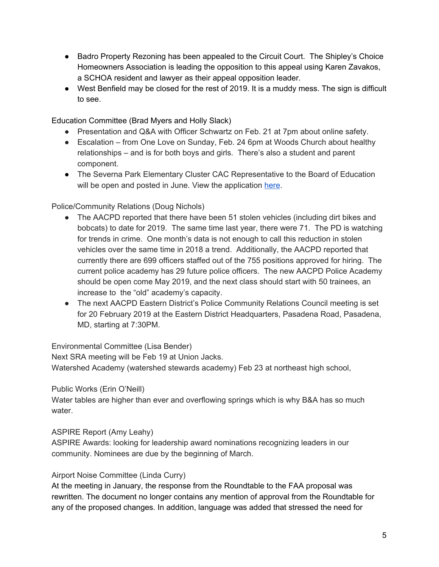- Badro Property Rezoning has been appealed to the Circuit Court. The Shipley's Choice Homeowners Association is leading the opposition to this appeal using Karen Zavakos, a SCHOA resident and lawyer as their appeal opposition leader.
- West Benfield may be closed for the rest of 2019. It is a muddy mess. The sign is difficult to see.

Education Committee (Brad Myers and Holly Slack)

- Presentation and Q&A with Officer Schwartz on Feb. 21 at 7pm about online safety.
- Escalation from One Love on Sunday, Feb. 24 6pm at Woods Church about healthy relationships – and is for both boys and girls. There's also a student and parent component.
- The Severna Park Elementary Cluster CAC Representative to the Board of Education will be open and posted in June. View the application [here.](https://www.aacps.org/cms/lib/MD02215556/Centricity/Domain/203/CAC%20Application-user.pdf)

### Police/Community Relations (Doug Nichols)

- The AACPD reported that there have been 51 stolen vehicles (including dirt bikes and bobcats) to date for 2019. The same time last year, there were 71. The PD is watching for trends in crime. One month's data is not enough to call this reduction in stolen vehicles over the same time in 2018 a trend. Additionally, the AACPD reported that currently there are 699 officers staffed out of the 755 positions approved for hiring. The current police academy has 29 future police officers. The new AACPD Police Academy should be open come May 2019, and the next class should start with 50 trainees, an increase to the "old" academy's capacity.
- The next AACPD Eastern District's Police Community Relations Council meeting is set for 20 February 2019 at the Eastern District Headquarters, Pasadena Road, Pasadena, MD, starting at 7:30PM.

Environmental Committee (Lisa Bender)

Next SRA meeting will be Feb 19 at Union Jacks.

Watershed Academy (watershed stewards academy) Feb 23 at northeast high school,

Public Works (Erin O'Neill)

Water tables are higher than ever and overflowing springs which is why B&A has so much water.

## ASPIRE Report (Amy Leahy)

ASPIRE Awards: looking for leadership award nominations recognizing leaders in our community. Nominees are due by the beginning of March.

## Airport Noise Committee (Linda Curry)

At the meeting in January, the response from the Roundtable to the FAA proposal was rewritten. The document no longer contains any mention of approval from the Roundtable for any of the proposed changes. In addition, language was added that stressed the need for